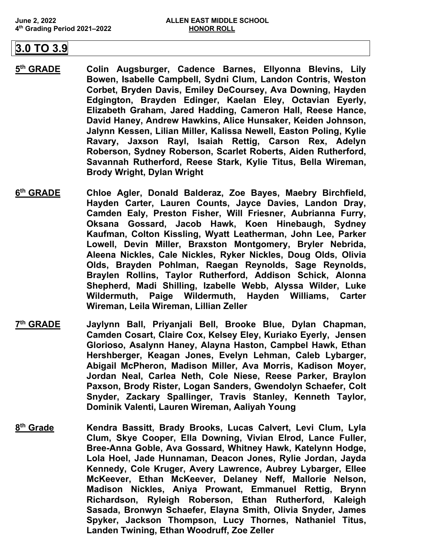## **3.0 TO 3.9**

- **5th GRADE Colin Augsburger, Cadence Barnes, Ellyonna Blevins, Lily Bowen, Isabelle Campbell, Sydni Clum, Landon Contris, Weston Corbet, Bryden Davis, Emiley DeCoursey, Ava Downing, Hayden Edgington, Brayden Edinger, Kaelan Eley, Octavian Eyerly, Elizabeth Graham, Jared Hadding, Cameron Hall, Reese Hance, David Haney, Andrew Hawkins, Alice Hunsaker, Keiden Johnson, Jalynn Kessen, Lilian Miller, Kalissa Newell, Easton Poling, Kylie Ravary, Jaxson Rayl, Isaiah Rettig, Carson Rex, Adelyn Roberson, Sydney Roberson, Scarlet Roberts, Aiden Rutherford, Savannah Rutherford, Reese Stark, Kylie Titus, Bella Wireman, Brody Wright, Dylan Wright**
- **6th GRADE Chloe Agler, Donald Balderaz, Zoe Bayes, Maebry Birchfield, Hayden Carter, Lauren Counts, Jayce Davies, Landon Dray, Camden Ealy, Preston Fisher, Will Friesner, Aubrianna Furry, Oksana Gossard, Jacob Hawk, Koen Hinebaugh, Sydney Kaufman, Colton Kissling, Wyatt Leatherman, John Lee, Parker Lowell, Devin Miller, Braxston Montgomery, Bryler Nebrida, Aleena Nickles, Cale Nickles, Ryker Nickles, Doug Olds, Olivia Olds, Brayden Pohlman, Raegan Reynolds, Sage Reynolds, Braylen Rollins, Taylor Rutherford, Addison Schick, Alonna Shepherd, Madi Shilling, Izabelle Webb, Alyssa Wilder, Luke Wildermuth, Paige Wildermuth, Hayden Williams, Carter Wireman, Leila Wireman, Lillian Zeller**
- **7th GRADE Jaylynn Ball, Priyanjali Bell, Brooke Blue, Dylan Chapman, Camden Cosart, Claire Cox, Kelsey Eley, Kuriako Eyerly, Jensen Glorioso, Asalynn Haney, Alayna Haston, Campbel Hawk, Ethan Hershberger, Keagan Jones, Evelyn Lehman, Caleb Lybarger, Abigail McPheron, Madison Miller, Ava Morris, Kadison Moyer, Jordan Neal, Carlea Neth, Cole Niese, Reese Parker, Braylon Paxson, Brody Rister, Logan Sanders, Gwendolyn Schaefer, Colt Snyder, Zackary Spallinger, Travis Stanley, Kenneth Taylor, Dominik Valenti, Lauren Wireman, Aaliyah Young**
- **8th Grade Kendra Bassitt, Brady Brooks, Lucas Calvert, Levi Clum, Lyla Clum, Skye Cooper, Ella Downing, Vivian Elrod, Lance Fuller, Bree-Anna Goble, Ava Gossard, Whitney Hawk, Katelynn Hodge, Lola Hoel, Jade Hunnaman, Deacon Jones, Rylie Jordan, Jayda Kennedy, Cole Kruger, Avery Lawrence, Aubrey Lybarger, Ellee McKeever, Ethan McKeever, Delaney Neff, Mallorie Nelson, Madison Nickles, Aniya Prowant, Emmanuel Rettig, Brynn Richardson, Ryleigh Roberson, Ethan Rutherford, Kaleigh Sasada, Bronwyn Schaefer, Elayna Smith, Olivia Snyder, James Spyker, Jackson Thompson, Lucy Thornes, Nathaniel Titus, Landen Twining, Ethan Woodruff, Zoe Zeller**